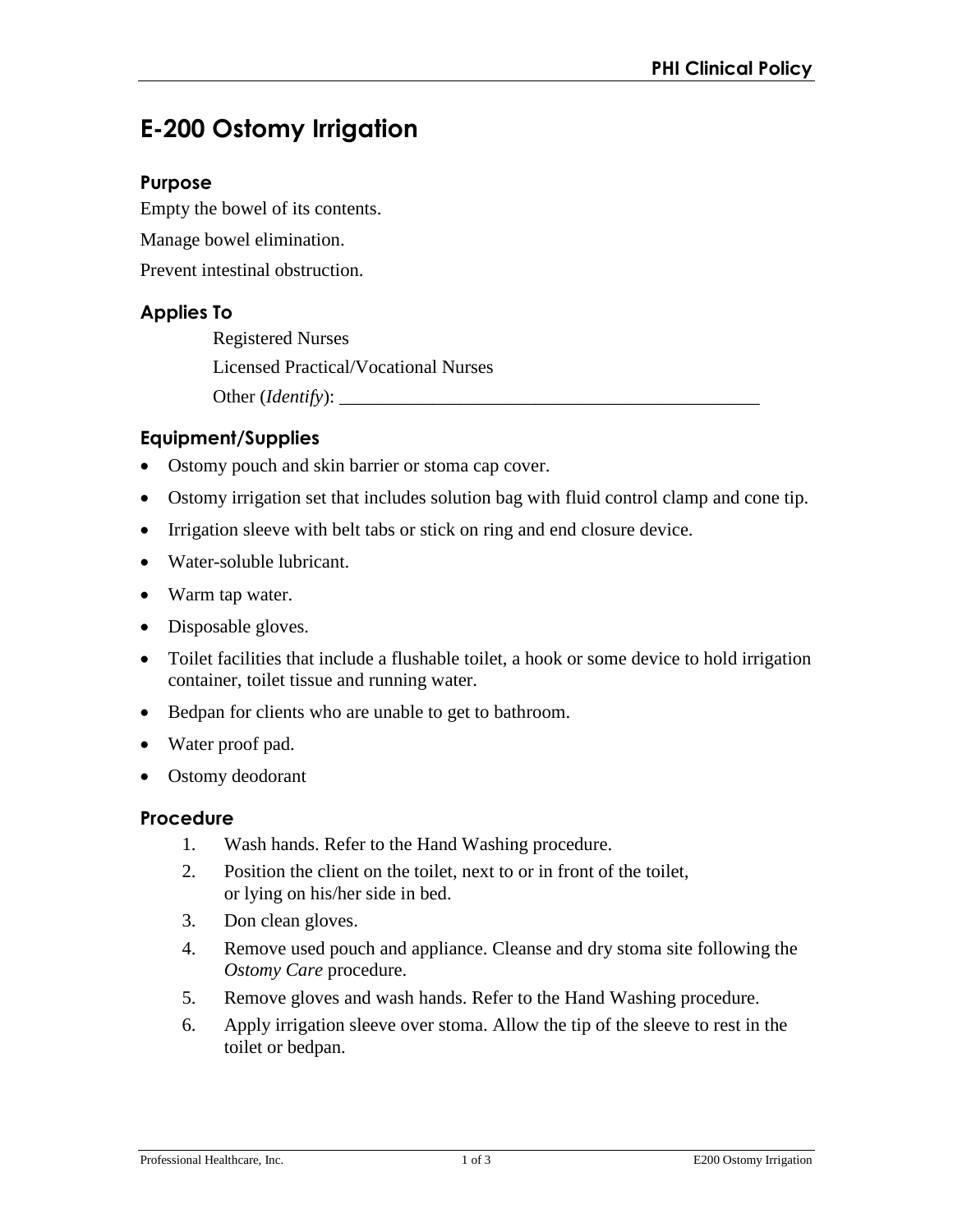# **E-200 Ostomy Irrigation**

### **Purpose**

Empty the bowel of its contents. Manage bowel elimination. Prevent intestinal obstruction.

# **Applies To**

Registered Nurses Licensed Practical/Vocational Nurses Other (*Identify*): \_\_\_\_\_\_\_\_\_\_\_\_\_\_\_\_\_\_\_\_\_\_\_\_\_\_\_\_\_\_\_\_\_\_\_\_\_\_\_\_\_\_\_\_\_

# **Equipment/Supplies**

- Ostomy pouch and skin barrier or stoma cap cover.
- Ostomy irrigation set that includes solution bag with fluid control clamp and cone tip.
- Irrigation sleeve with belt tabs or stick on ring and end closure device.
- Water-soluble lubricant.
- Warm tap water.
- Disposable gloves.
- Toilet facilities that include a flushable toilet, a hook or some device to hold irrigation container, toilet tissue and running water.
- Bedpan for clients who are unable to get to bathroom.
- Water proof pad.
- Ostomy deodorant

#### **Procedure**

- 1. Wash hands. Refer to the Hand Washing procedure.
- 2. Position the client on the toilet, next to or in front of the toilet, or lying on his/her side in bed.
- 3. Don clean gloves.
- 4. Remove used pouch and appliance. Cleanse and dry stoma site following the *Ostomy Care* procedure.
- 5. Remove gloves and wash hands. Refer to the Hand Washing procedure.
- 6. Apply irrigation sleeve over stoma. Allow the tip of the sleeve to rest in the toilet or bedpan.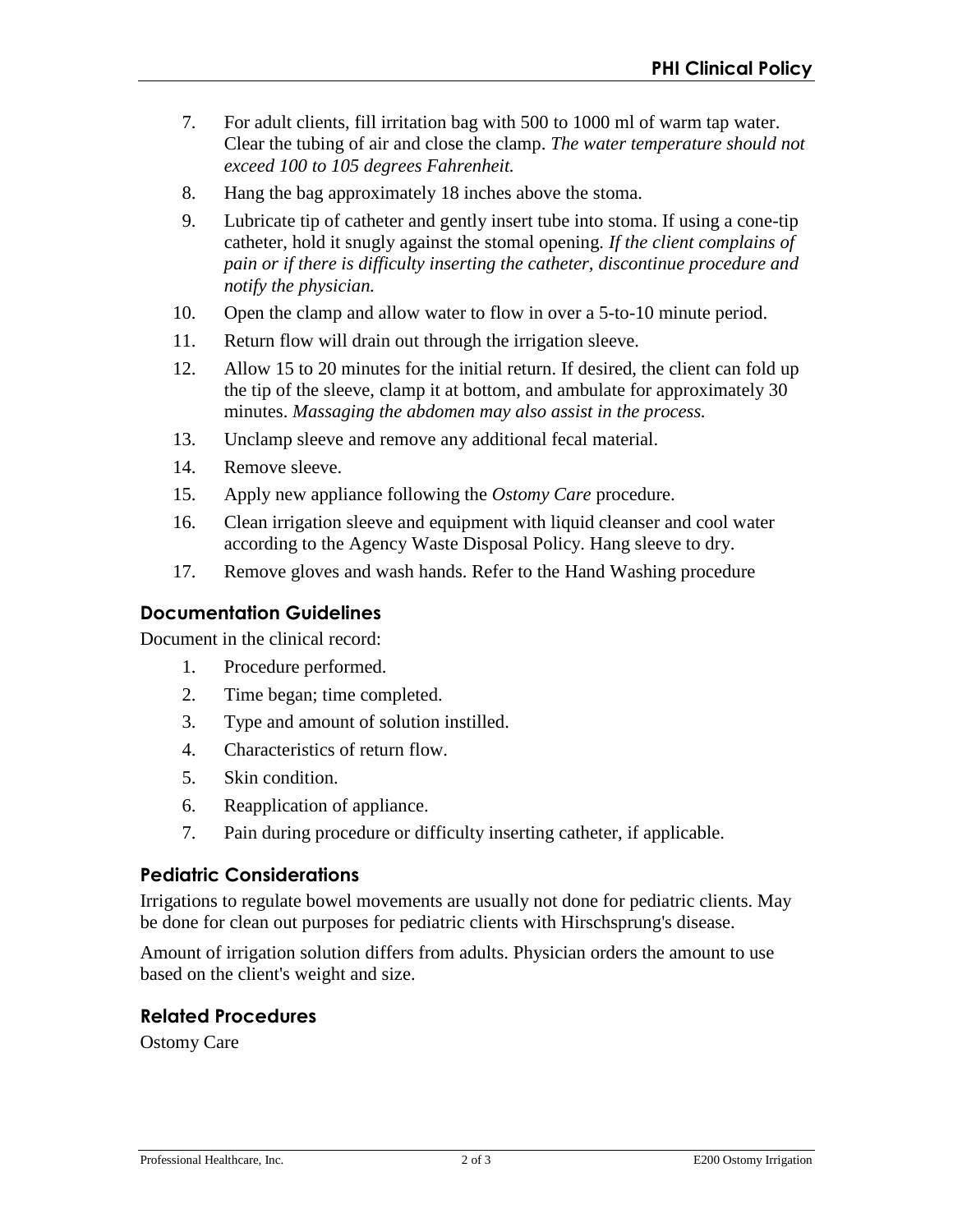- 7. For adult clients, fill irritation bag with 500 to 1000 ml of warm tap water. Clear the tubing of air and close the clamp. *The water temperature should not exceed 100 to 105 degrees Fahrenheit.*
- 8. Hang the bag approximately 18 inches above the stoma.
- 9. Lubricate tip of catheter and gently insert tube into stoma. If using a cone-tip catheter, hold it snugly against the stomal opening. *If the client complains of pain or if there is difficulty inserting the catheter, discontinue procedure and notify the physician.*
- 10. Open the clamp and allow water to flow in over a 5-to-10 minute period.
- 11. Return flow will drain out through the irrigation sleeve.
- 12. Allow 15 to 20 minutes for the initial return. If desired, the client can fold up the tip of the sleeve, clamp it at bottom, and ambulate for approximately 30 minutes. *Massaging the abdomen may also assist in the process.*
- 13. Unclamp sleeve and remove any additional fecal material.
- 14. Remove sleeve.
- 15. Apply new appliance following the *Ostomy Care* procedure.
- 16. Clean irrigation sleeve and equipment with liquid cleanser and cool water according to the Agency Waste Disposal Policy. Hang sleeve to dry.
- 17. Remove gloves and wash hands. Refer to the Hand Washing procedure

# **Documentation Guidelines**

Document in the clinical record:

- 1. Procedure performed.
- 2. Time began; time completed.
- 3. Type and amount of solution instilled.
- 4. Characteristics of return flow.
- 5. Skin condition.
- 6. Reapplication of appliance.
- 7. Pain during procedure or difficulty inserting catheter, if applicable.

# **Pediatric Considerations**

Irrigations to regulate bowel movements are usually not done for pediatric clients. May be done for clean out purposes for pediatric clients with Hirschsprung's disease.

Amount of irrigation solution differs from adults. Physician orders the amount to use based on the client's weight and size.

# **Related Procedures**

Ostomy Care